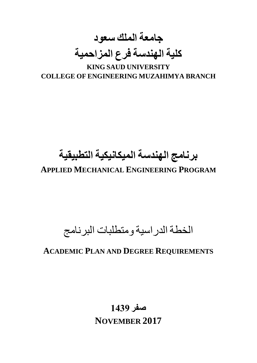**جامعة الملك سعود كلية الهندسة فرع المزاحمية KING SAUD UNIVERSITY**

**COLLEGE OF ENGINEERING MUZAHIMYA BRANCH**

# **برنامج الهندسة الميكانيكية التطبيقية**

**APPLIED MECHANICAL ENGINEERING PROGRAM**

## الخطة الدراسية ومتطلبات البرنامج

### **ACADEMIC PLAN AND DEGREE REQUIREMENTS**

## **صفر 1439 NOVEMBER 2017**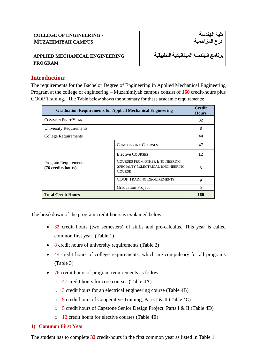#### **COLLEGE OF ENGINEERING - MUZAHIMIYAH CAMPUS**

#### **APPLIED MECHANICAL ENGINEERING PROGRAM**

**برنامج الهندسة الميكانيكية التطبيقية**

**كلية الهندسة فرع المزاحمية**

#### **Introduction:**

The requirements for the Bachelor Degree of Engineering in Applied Mechanical Engineering Program at the college of engineering – Muzahimiyah campus consist of **160** credit-hours plus COOP Training. The Table below shows the summary for these academic requirements:

| <b>Graduation Requirements for Applied Mechanical Engineering</b> | <b>Credit</b><br><b>Hours</b>                                                  |     |
|-------------------------------------------------------------------|--------------------------------------------------------------------------------|-----|
| <b>COMMON FIRST YEAR</b>                                          |                                                                                | 32  |
| University Requirements                                           |                                                                                | 8   |
| <b>College Requirements</b>                                       |                                                                                | 44  |
|                                                                   | <b>COMPULSORY COURSES</b>                                                      | 47  |
|                                                                   | <b>Elective COURSES</b>                                                        | 12  |
| <b>Program Requirements</b><br>(76 credits hours)                 | COURSES FROM OTHER ENGINEERING<br>SPECIALTY (ELECTRICAL ENGINEERING<br>COURSE) | 3   |
|                                                                   | <b>COOP TRAINING REQUIREMENTS</b>                                              | 9   |
|                                                                   | <b>Graduation Project</b>                                                      | 5   |
| <b>Total Credit Hours</b>                                         |                                                                                | 160 |

The breakdown of the program credit hours is explained below:

- **32** credit hours (two semesters) of skills and pre-calculus. This year is called common first year. (Table 1)
- 8 credit hours of university requirements (Table 2)
- 44 credit hours of college requirements, which are compulsory for all programs (Table 3)
- 76 credit hours of program requirements as follow:
	- o 47 credit hours for core courses (Table 4A)
	- o 3 credit hours for an electrical engineering course (Table 4B)
	- o 9 credit hours of Cooperative Training, Parts I & II (Table 4C)
	- o 5 credit hours of Capstone Senior Design Project, Parts I & II (Table 4D)
	- o 12 credit hours for elective courses (Table 4E)

#### **1) Common First Year**

The student has to complete **32** credit-hours in the first common year as listed in Table 1: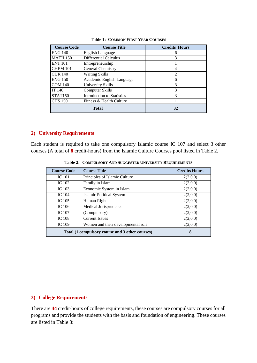| <b>Course Code</b> | <b>Course Title</b>               | <b>Credits Hours</b> |
|--------------------|-----------------------------------|----------------------|
| <b>ENG 140</b>     | <b>English Language</b>           | 6                    |
| <b>MATH 150</b>    | Differential Calculus             | 3                    |
| <b>ENT 101</b>     | Entrepreneurship                  |                      |
| <b>CHEM 101</b>    | <b>General Chemistry</b>          |                      |
| <b>CUR 140</b>     | <b>Writing Skills</b>             | $\overline{2}$       |
| <b>ENG 150</b>     | Academic English Language         | 6                    |
| <b>COM 140</b>     | University Skills                 | 3                    |
| IT 140             | <b>Computer Skills</b>            | 3                    |
| <b>STAT150</b>     | <b>Introduction to Statistics</b> | $\mathcal{R}$        |
| <b>CHS</b> 150     | Fitness & Health Culture          |                      |
| <b>Total</b>       |                                   | 32                   |

#### **Table 1: COMMON FIRST YEAR COURSES**

#### **2) University Requirements**

Each student is required to take one compulsory Islamic course IC 107 and select 3 other courses (A total of **8** credit-hours) from the Islamic Culture Courses pool listed in Table 2.

| <b>Course Code</b>                              | <b>Course Title</b>                | <b>Credits Hours</b> |
|-------------------------------------------------|------------------------------------|----------------------|
| <b>IC</b> 101                                   | Principles of Islamic Culture      | 2(2,0,0)             |
| <b>IC</b> 102                                   | Family in Islam                    | 2(2,0,0)             |
| IC 103                                          | Economic System in Islam           | 2(2,0,0)             |
| <b>IC</b> 104                                   | <b>Islamic Political System</b>    | 2(2,0,0)             |
| IC 105                                          | Human Rights                       | 2(2,0,0)             |
| IC 106                                          | Medical Jurisprudence              | 2(2,0,0)             |
| IC 107                                          | (Compulsory)                       | 2(2,0,0)             |
| <b>IC 108</b>                                   | <b>Current Issues</b>              | 2(2,0,0)             |
| <b>IC</b> 109                                   | Women and their developmental role | 2(2,0,0)             |
| Total (1 compulsory course and 3 other courses) | 8                                  |                      |

**Table 2: COMPULSORY AND SUGGESTED UNIVERSITY REQUIREMENTS**

#### **3) College Requirements**

There are **44** credit-hours of college requirements, these courses are compulsory courses for all programs and provide the students with the basis and foundation of engineering. These courses are listed in Table 3: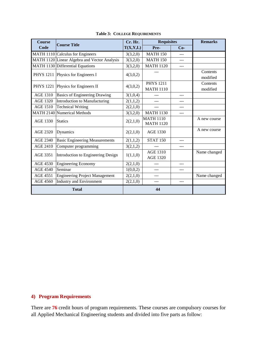| <b>Course</b>    | <b>Course Title</b>                          | Cr. Hr.  | <b>Requisites</b>                    |       | <b>Remarks</b>       |
|------------------|----------------------------------------------|----------|--------------------------------------|-------|----------------------|
| Code             |                                              | T(X,Y,L) | Pre-                                 | $Co-$ |                      |
|                  | MATH 1110 Calculus for Engineers             | 3(3,2,0) | <b>MATH 150</b>                      |       |                      |
|                  | MATH 1120 Linear Algebra and Vector Analysis | 3(3,2,0) | <b>MATH 150</b>                      |       |                      |
|                  | MATH 1130 Differential Equations             | 3(3,2,0) | <b>MATH 1120</b>                     | ---   |                      |
| <b>PHYS 1211</b> | Physics for Engineers I                      | 4(3,0,2) | $- - -$                              |       | Contents<br>modified |
| <b>PHYS 1221</b> | Physics for Engineers II                     | 4(3,0,2) | <b>PHYS 1211</b><br><b>MATH 1110</b> |       | Contents<br>modified |
| <b>AGE 1310</b>  | <b>Basics of Engineering Drawing</b>         | 3(1,0,4) |                                      |       |                      |
| <b>AGE 1320</b>  | Introduction to Manufacturing                | 2(1,1,2) | ---                                  |       |                      |
| <b>AGE 1510</b>  | <b>Technical Writing</b>                     | 2(2,1,0) | $---$                                | ---   |                      |
|                  | <b>MATH 2140 Numerical Methods</b>           | 3(3,2,0) | <b>MATH 1130</b>                     |       |                      |
| <b>AGE 1330</b>  | <b>Statics</b>                               | 2(2,1,0) | <b>MATH 1110</b><br><b>MATH 1120</b> |       | A new course         |
| AGE 2320         | Dynamics                                     | 2(2,1,0) | <b>AGE 1330</b>                      |       | A new course         |
| AGE 2340         | <b>Basic Engineering Measurements</b>        | 2(1,1,2) | <b>STAT 150</b>                      | $---$ |                      |
| <b>AGE 2410</b>  | Computer programming                         | 3(2,1,2) |                                      |       |                      |
| AGE 3351         | Introduction to Engineering Design           | 1(1,1,0) | <b>AGE 1310</b><br><b>AGE 1320</b>   |       | Name changed         |
| <b>AGE 4530</b>  | <b>Engineering Economy</b>                   | 2(2,1,0) | ---                                  |       |                      |
| <b>AGE 4540</b>  | Seminar                                      | 1(0,0,2) | ---                                  |       |                      |
| AGE 4551         | <b>Engineering Project Management</b>        | 2(2,1,0) | $---$                                |       | Name changed         |
| <b>AGE 4560</b>  | <b>Industry and Environment</b>              | 2(2,1,0) | ---                                  | ---   |                      |
| <b>Total</b>     |                                              |          | 44                                   |       |                      |

#### **Table 3: COLLEGE REQUIREMENTS**

#### **4) Program Requirements**

There are **76** credit hours of program requirements. These courses are compulsory courses for all Applied Mechanical Engineering students and divided into five parts as follow: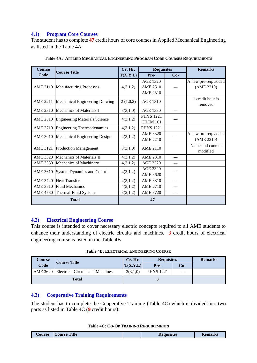#### **4.1) Program Core Courses**

The student has to complete **47** credit hours of core courses in Applied Mechanical Engineering as listed in the Table 4A.

| <b>Course</b>   | <b>Course Title</b>                  | Cr. Hr.  | <b>Requisites</b> |       | <b>Remarks</b>       |
|-----------------|--------------------------------------|----------|-------------------|-------|----------------------|
| Code            |                                      | T(X,Y,L) | Pre-              | $Co-$ |                      |
|                 |                                      |          | <b>AGE 1320</b>   |       | A new pre-req. added |
|                 | AME 2110 Manufacturing Processes     | 4(3,1,2) | <b>AME 2510</b>   |       | (AME 2310)           |
|                 |                                      |          | <b>AME 2310</b>   |       |                      |
| <b>AME 2211</b> | Mechanical Engineering Drawing       | 2(1,0,2) | AGE 1310          |       | 1 credit hour is     |
|                 |                                      |          |                   |       | removed              |
| <b>AME 2310</b> | Mechanics of Materials I             | 3(3,1,0) | <b>AGE 1330</b>   | ---   |                      |
| AME 2510        | <b>Engineering Materials Science</b> | 4(3,1,2) | <b>PHYS 1221</b>  |       |                      |
|                 |                                      |          | <b>CHEM 101</b>   |       |                      |
| <b>AME 2710</b> | <b>Engineering Thermodynamics</b>    | 4(3,1,2) | <b>PHYS 1221</b>  |       |                      |
| <b>AME 3010</b> | Mechanical Engineering Design        | 4(3,1,2) | <b>AME 3320</b>   |       | A new pre-req. added |
|                 |                                      |          | AME 2210          |       | (AME 2210)           |
| <b>AME 3121</b> | <b>Production Management</b>         | 3(3,1,0) | AME 2110          |       | Name and content     |
|                 |                                      |          |                   |       | modified             |
| <b>AME 3320</b> | Mechanics of Materials II            | 4(3,1,2) | <b>AME 2310</b>   | ---   |                      |
| AME 3330        | Mechanics of Machinery               | 4(3,1,2) | <b>AGE 2320</b>   | ---   |                      |
| AME 3610        | <b>System Dynamics and Control</b>   |          | AGE 2320          |       |                      |
|                 |                                      | 4(3,1,2) | <b>AME 3620</b>   |       |                      |
| <b>AME 3720</b> | <b>Heat Transfer</b>                 | 4(3,1,2) | <b>AME 3810</b>   |       |                      |
| <b>AME 3810</b> | <b>Fluid Mechanics</b>               | 4(3,1,2) | <b>AME 2710</b>   | ---   |                      |
| <b>AME 4730</b> | Thermal-Fluid Systems                | 3(2,1,2) | <b>AME 3720</b>   | ---   |                      |
| <b>Total</b>    |                                      |          | 47                |       |                      |

**Table 4A: APPLIED MECHANICAL ENGINEERING PROGRAM CORE COURSES REQUIREMENTS**

#### **4.2) Electrical Engineering Course**

This course is intended to cover necessary electric concepts required to all AME students to enhance their understanding of electric circuits and machines. **3** credit hours of electrical engineering course is listed in the Table 4B

|  |  |  | <b>Table 4B: ELECTRICAL ENGINEERING COURSE</b> |  |
|--|--|--|------------------------------------------------|--|
|--|--|--|------------------------------------------------|--|

| <b>Course</b> | <b>Course Title</b>                       | Cr. Hr.             | <b>Requisites</b> |       | <b>Remarks</b> |
|---------------|-------------------------------------------|---------------------|-------------------|-------|----------------|
| Code          |                                           | $\mathbf{T}(X,Y,L)$ | Pre-              | $Co-$ |                |
|               | AME 3620 Electrical Circuits and Machines | 3(3,1,0)            | <b>PHYS</b> 1221  | ---   |                |
| <b>Total</b>  |                                           |                     |                   |       |                |

#### **4.3) Cooperative Training Requirements**

The student has to complete the Cooperative Training (Table 4C) which is divided into two parts as listed in Table 4C (**9** credit hours):

| Course | <b>Title</b><br>Course | <b>Requisites</b> | <b>Kemarks</b> |
|--------|------------------------|-------------------|----------------|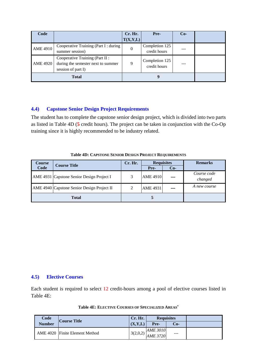| Code            |                                                                                            | Cr. Hr.<br>T(X,Y,L) | Pre-                           | $Co-$ |  |
|-----------------|--------------------------------------------------------------------------------------------|---------------------|--------------------------------|-------|--|
| <b>AME 4910</b> | Cooperative Training (Part I : during<br>summer session)                                   | 0                   | Completion 125<br>credit hours |       |  |
| <b>AME 4920</b> | Cooperative Training (Part II:<br>during the semester next to summer<br>session of part I) | 9                   | Completion 125<br>credit hours |       |  |
|                 | <b>Total</b>                                                                               |                     |                                |       |  |

#### **4.4) Capstone Senior Design Project Requirements**

The student has to complete the capstone senior design project, which is divided into two parts as listed in Table 4D (**5** credit hours). The project can be taken in conjunction with the Co-Op training since it is highly recommended to be industry related.

| Course       | <b>Course Title</b>                        | Cr. Hr. | <b>Requisites</b> |       | <b>Remarks</b>         |
|--------------|--------------------------------------------|---------|-------------------|-------|------------------------|
| Code         |                                            |         | Pre-              | $Co-$ |                        |
|              | AME 4931 Capstone Senior Design Project I  | 3       | <b>AME 4910</b>   |       | Course code<br>changed |
|              | AME 4940 Capstone Senior Design Project II |         | <b>AME 4931</b>   |       | A new course           |
| <b>Total</b> |                                            |         |                   |       |                        |

#### **Table 4D: CAPSTONE SENIOR DESIGN PROJECT REQUIREMENTS**

#### **4.5) Elective Courses**

Each student is required to select 12 credit-hours among a pool of elective courses listed in Table 4E:

| Code          | <b>Course Title</b>            | Cr. Hr.  | <b>Requisites</b>           |         |  |
|---------------|--------------------------------|----------|-----------------------------|---------|--|
| <b>Number</b> |                                | (X,Y,L)  | Pre-                        | Cо-     |  |
|               | AME 4020 Finite Element Method | 3(2,0,2) | <b>AME 3010</b><br>AME 3720 | $- - -$ |  |

| Table 4E: ELECTIVE COURSES OF SPECIALIZED AREAS* |  |  |  |  |  |
|--------------------------------------------------|--|--|--|--|--|
|--------------------------------------------------|--|--|--|--|--|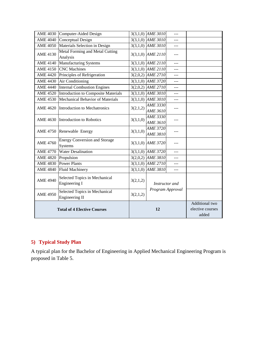|                 | AME 4030 Computer-Aided Design                         |          | $3(3,1,0)$ AME $3010$                       | ---            |  |
|-----------------|--------------------------------------------------------|----------|---------------------------------------------|----------------|--|
| <b>AME 4040</b> | Conceptual Design                                      |          | 3(3,1,0) AME 3010                           |                |  |
| <b>AME 4050</b> | Materials Selection in Design                          |          | $3(3,1,0)$ AME $\overline{3010}$            | ---            |  |
| <b>AME 4130</b> | Metal Forming and Metal Cutting<br>Analysis            |          | 3(3,1,0) AME 2110                           | $---$          |  |
|                 | AME 4140 Manufacturing Systems                         |          | 3(3,1,0) AME 2110                           | ---            |  |
| <b>AME 4150</b> | <b>CNC</b> Machines                                    |          | 3(3,1,0) AME $2\overline{110}$              | ---            |  |
| <b>AME 4420</b> | Principles of Refrigeration                            |          | $3(2,0,2)$ AME $2710$                       | $---$          |  |
| <b>AME 4430</b> | Air Conditioning                                       |          | 3(3,1,0) AME 3720                           | $---$          |  |
| <b>AME 4440</b> | <b>Internal Combustion Engines</b>                     |          | 3(2,0,2) AME 2710                           | ---            |  |
| <b>AME 4520</b> | Introduction to Composite Materials                    |          | $3(3,1,0)$ AME $3010$                       | ---            |  |
| <b>AME 4530</b> | Mechanical Behavior of Materials                       |          | 3(3,1,0) AME 3010                           | ---            |  |
|                 | AME 4620 Introduction to Mechatronics                  | 3(2,1,2) | <b>AME 3330</b><br><b>AME 3610</b>          |                |  |
| <b>AME 4630</b> | Introduction to Robotics                               | 3(3,1,0) | <b>AME 3330</b><br><b>AME 3610</b>          | ---            |  |
|                 | AME 4750 Renewable Energy                              | 3(3,1,0) | <b>AME 3720</b><br><b>AME 3810</b>          | ---            |  |
| <b>AME 4760</b> | <b>Energy Conversion and Storage</b><br><b>Systems</b> |          | $3(3,1,0)$ AME 3720                         |                |  |
| <b>AME 4770</b> | <b>Water Desalination</b>                              |          | $3(3,1,0)$ AME $3720$                       | $---$          |  |
| <b>AME 4820</b> | Propulsion                                             |          | $3(2,0,2)$ AME $\overline{3810}$            | $- - -$        |  |
|                 | AME 4830 Power Plants                                  |          | $3(3,1,0)$ AME $2710$                       | ---            |  |
| <b>AME 4840</b> | <b>Fluid Machinery</b>                                 |          | 3(3,1,0) AME 3810                           | ---            |  |
| <b>AME 4940</b> | Selected Topics in Mechanical<br>Engineering I         | 3(2,1,2) |                                             | Instructor and |  |
| <b>AME 4950</b> | Selected Topics in Mechanical<br>Engineering II        | 3(2,1,2) | Program Approval                            |                |  |
|                 | <b>Total of 4 Elective Courses</b>                     |          | Additional two<br>elective courses<br>added |                |  |

#### **5) Typical Study Plan**

A typical plan for the Bachelor of Engineering in Applied Mechanical Engineering Program is proposed in Table 5.